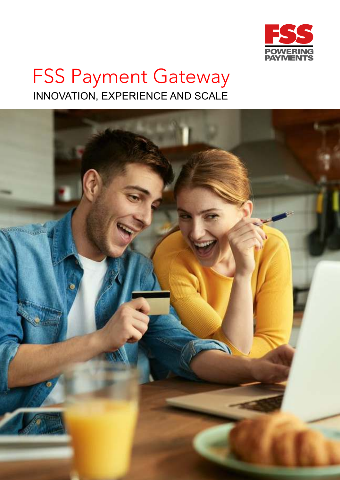

# FSS Payment Gateway INNOVATION, EXPERIENCE AND SCALE

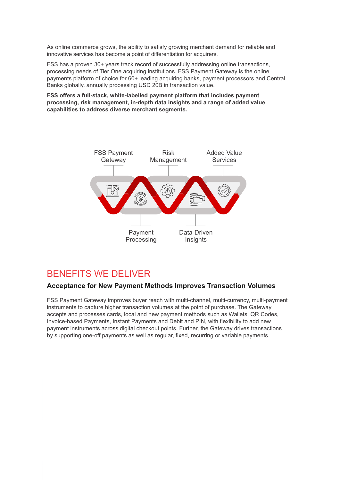As online commerce grows, the ability to satisfy growing merchant demand for reliable and innovative services has become a point of differentiation for acquirers.

FSS has a proven 30+ years track record of successfully addressing online transactions, processing needs of Tier One acquiring institutions. FSS Payment Gateway is the online payments platform of choice for 60+ leading acquiring banks, payment processors and Central Banks globally, annually processing USD 20B in transaction value.

**FSS offers a full-stack, white-labelled payment platform that includes payment processing, risk management, in-depth data insights and a range of added value capabilities to address diverse merchant segments.**



# BENEFITS WE DELIVER

#### **Acceptance for New Payment Methods Improves Transaction Volumes**

FSS Payment Gateway improves buyer reach with multi-channel, multi-currency, multi-payment instruments to capture higher transaction volumes at the point of purchase. The Gateway accepts and processes cards, local and new payment methods such as Wallets, QR Codes, Invoice-based Payments, Instant Payments and Debit and PIN, with flexibility to add new payment instruments across digital checkout points. Further, the Gateway drives transactions by supporting one-off payments as well as regular, fixed, recurring or variable payments.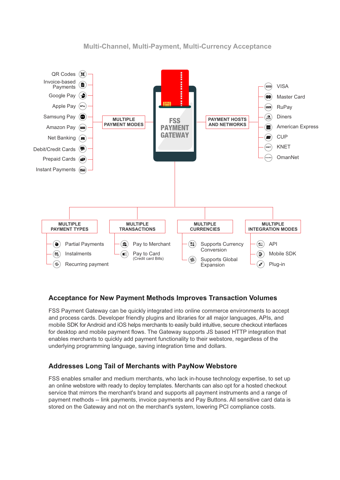

## **Multi-Channel, Multi-Payment, Multi-Currency Acceptance**

# **Acceptance for New Payment Methods Improves Transaction Volumes**

FSS Payment Gateway can be quickly integrated into online commerce environments to accept and process cards. Developer friendly plugins and libraries for all major languages, APIs, and mobile SDK for Android and iOS helps merchants to easily build intuitive, secure checkout interfaces for desktop and mobile payment flows. The Gateway supports JS based HTTP integration that enables merchants to quickly add payment functionality to their webstore, regardless of the underlying programming language, saving integration time and dollars.

# **Addresses Long Tail of Merchants with PayNow Webstore**

FSS enables smaller and medium merchants, who lack in-house technology expertise, to set up an online webstore with ready to deploy templates. Merchants can also opt for a hosted checkout service that mirrors the merchant's brand and supports all payment instruments and a range of payment methods -- link payments, invoice payments and Pay Buttons. All sensitive card data is stored on the Gateway and not on the merchant's system, lowering PCI compliance costs.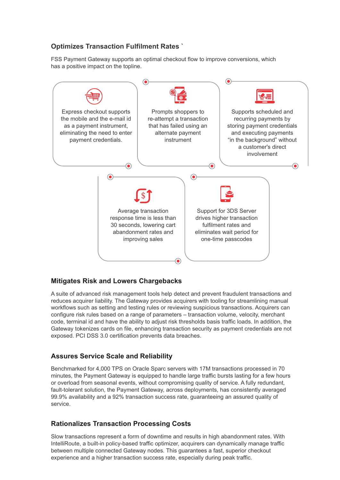# **Optimizes Transaction Fulfilment Rates `**

FSS Payment Gateway supports an optimal checkout flow to improve conversions, which has a positive impact on the topline.



#### **Mitigates Risk and Lowers Chargebacks**

A suite of advanced risk management tools help detect and prevent fraudulent transactions and reduces acquirer liability. The Gateway provides acquirers with tooling for streamlining manual workflows such as setting and testing rules or reviewing suspicious transactions. Acquirers can configure risk rules based on a range of parameters – transaction volume, velocity, merchant code, terminal id and have the ability to adjust risk thresholds basis traffic loads. In addition, the Gateway tokenizes cards on file, enhancing transaction security as payment credentials are not exposed. PCI DSS 3.0 certification prevents data breaches.

#### **Assures Service Scale and Reliability**

Benchmarked for 4,000 TPS on Oracle Sparc servers with 17M transactions processed in 70 minutes, the Payment Gateway is equipped to handle large traffic bursts lasting for a few hours or overload from seasonal events, without compromising quality of service. A fully redundant, fault-tolerant solution, the Payment Gateway, across deployments, has consistently averaged 99.9% availability and a 92% transaction success rate, guaranteeing an assured quality of service.

# **Rationalizes Transaction Processing Costs**

Slow transactions represent a form of downtime and results in high abandonment rates. With IntelliRoute, a built-in policy-based traffic optimizer, acquirers can dynamically manage traffic between multiple connected Gateway nodes. This guarantees a fast, superior checkout experience and a higher transaction success rate, especially during peak traffic.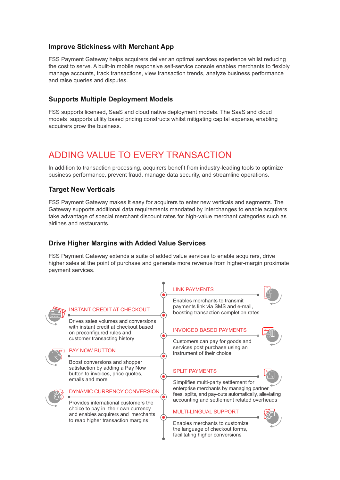## **Improve Stickiness with Merchant App**

FSS Payment Gateway helps acquirers deliver an optimal services experience whilst reducing the cost to serve. A built-in mobile responsive self-service console enables merchants to flexibly manage accounts, track transactions, view transaction trends, analyze business performance and raise queries and disputes.

## **Supports Multiple Deployment Models**

FSS supports licensed, SaaS and cloud native deployment models. The SaaS and cloud models supports utility based pricing constructs whilst mitigating capital expense, enabling acquirers grow the business.

# ADDING VALUE TO EVERY TRANSACTION

In addition to transaction processing, acquirers benefit from industry-leading tools to optimize business performance, prevent fraud, manage data security, and streamline operations.

#### **Target New Verticals**

FSS Payment Gateway makes it easy for acquirers to enter new verticals and segments. The Gateway supports additional data requirements mandated by interchanges to enable acquirers take advantage of special merchant discount rates for high-value merchant categories such as airlines and restaurants.

## **Drive Higher Margins with Added Value Services**

FSS Payment Gateway extends a suite of added value services to enable acquirers, drive higher sales at the point of purchase and generate more revenue from higher-margin proximate payment services.